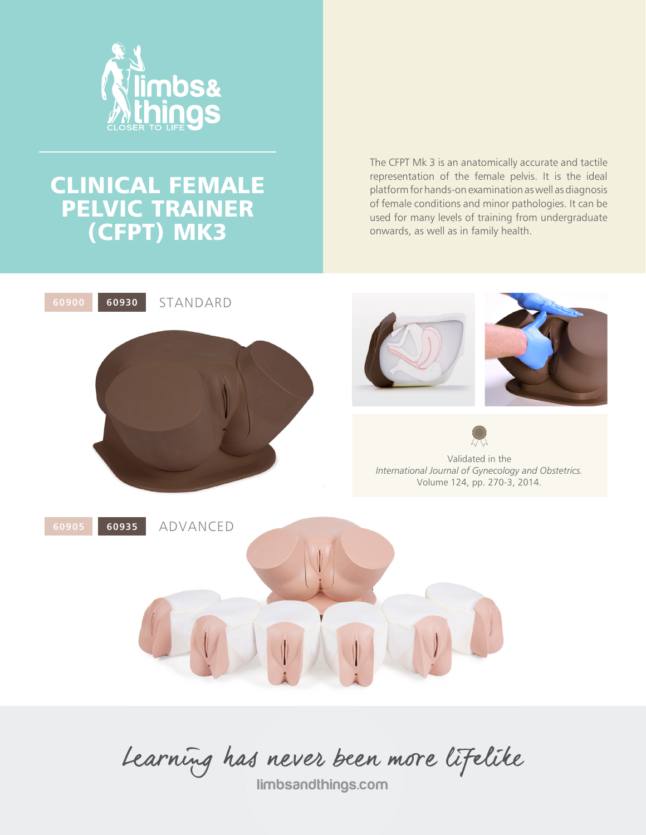

# CLINICAL FEMALE PELVIC TRAINER (CFPT) MK3

The CFPT Mk 3 is an anatomically accurate and tactile representation of the female pelvis. It is the ideal platform for hands-on examination as well as diagnosis of female conditions and minor pathologies. It can be used for many levels of training from undergraduate onwards, as well as in family health.



Learning has never been more lifelike

limbsandthings.com